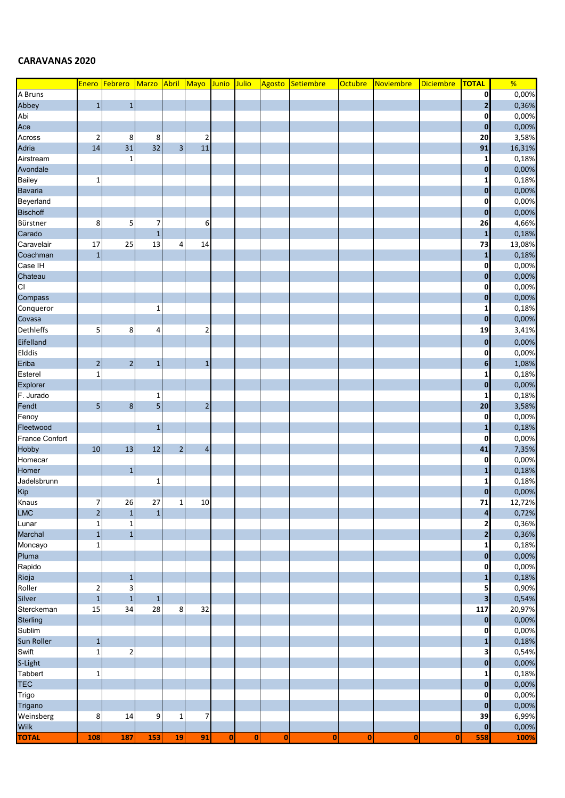## **CARAVANAS 2020**

|                  | Enero            | Febrero        | Marzo Abril Mayo        |                |                         | Junio        | Julio              | Agosto   | Setiembre    | Octubre  | Noviembre | <b>Diciembre</b> | <b>TOTAL</b>            | $\frac{9}{6}$ |
|------------------|------------------|----------------|-------------------------|----------------|-------------------------|--------------|--------------------|----------|--------------|----------|-----------|------------------|-------------------------|---------------|
| A Bruns          |                  |                |                         |                |                         |              |                    |          |              |          |           |                  | 0                       | 0,00%         |
| Abbey            | $\mathbf 1$      | $\mathbf 1$    |                         |                |                         |              |                    |          |              |          |           |                  | $\mathbf{2}$            | 0,36%         |
| Abi              |                  |                |                         |                |                         |              |                    |          |              |          |           |                  | 0                       | 0,00%         |
| Ace              |                  |                |                         |                |                         |              |                    |          |              |          |           |                  | $\mathbf 0$             | 0,00%         |
| Across           | $\overline{2}$   | 8              | 8                       |                | 2                       |              |                    |          |              |          |           |                  | 20                      | 3,58%         |
| Adria            | 14               | 31             | 32                      | 3 <sup>1</sup> | 11                      |              |                    |          |              |          |           |                  | 91                      | 16,31%        |
| Airstream        |                  | $\mathbf 1$    |                         |                |                         |              |                    |          |              |          |           |                  | $\mathbf{1}$            | 0,18%         |
| Avondale         |                  |                |                         |                |                         |              |                    |          |              |          |           |                  | $\mathbf 0$             | 0,00%         |
| <b>Bailey</b>    | 1                |                |                         |                |                         |              |                    |          |              |          |           |                  | 1                       | 0,18%         |
| <b>Bavaria</b>   |                  |                |                         |                |                         |              |                    |          |              |          |           |                  | $\mathbf 0$             | 0,00%         |
| Beyerland        |                  |                |                         |                |                         |              |                    |          |              |          |           |                  | 0                       | 0,00%         |
| <b>Bischoff</b>  |                  |                |                         |                |                         |              |                    |          |              |          |           |                  | $\mathbf 0$             | 0,00%         |
| Bürstner         | 8                | 5              | 7                       |                | 6                       |              |                    |          |              |          |           |                  | 26                      | 4,66%         |
| Carado           |                  |                | $1\,$                   |                |                         |              |                    |          |              |          |           |                  | $\mathbf{1}$            | 0,18%         |
| Caravelair       | 17               | 25             | 13                      | $\overline{4}$ | 14                      |              |                    |          |              |          |           |                  | 73                      | 13,08%        |
| Coachman         | $\mathbf{1}$     |                |                         |                |                         |              |                    |          |              |          |           |                  | $\mathbf{1}$            | 0,18%         |
| Case IH          |                  |                |                         |                |                         |              |                    |          |              |          |           |                  | 0                       | 0,00%         |
| Chateau          |                  |                |                         |                |                         |              |                    |          |              |          |           |                  | $\bf{0}$                | 0,00%         |
| CI               |                  |                |                         |                |                         |              |                    |          |              |          |           |                  | 0                       | 0,00%         |
| Compass          |                  |                |                         |                |                         |              |                    |          |              |          |           |                  | $\bf{0}$                | 0,00%         |
| Conqueror        |                  |                | 1                       |                |                         |              |                    |          |              |          |           |                  | 1                       | 0,18%         |
| Covasa           |                  |                |                         |                |                         |              |                    |          |              |          |           |                  | $\bf{0}$                | 0,00%         |
| <b>Dethleffs</b> | 5                | 8              | 4                       |                | $\overline{2}$          |              |                    |          |              |          |           |                  | 19                      | 3,41%         |
| Eifelland        |                  |                |                         |                |                         |              |                    |          |              |          |           |                  |                         |               |
|                  |                  |                |                         |                |                         |              |                    |          |              |          |           |                  | $\mathbf 0$             | 0,00%         |
| Elddis           |                  |                |                         |                |                         |              |                    |          |              |          |           |                  | $\mathbf 0$             | 0,00%         |
| Eriba            | $\overline{2}$   | $\mathbf 2$    | $\mathbf{1}$            |                | $\mathbf{1}$            |              |                    |          |              |          |           |                  | $6\phantom{1}$          | 1,08%         |
| Esterel          | $\mathbf{1}$     |                |                         |                |                         |              |                    |          |              |          |           |                  | $\mathbf{1}$            | 0,18%         |
| Explorer         |                  |                |                         |                |                         |              |                    |          |              |          |           |                  | $\mathbf 0$             | 0,00%         |
| F. Jurado        |                  |                | $\mathbf 1$             |                |                         |              |                    |          |              |          |           |                  | $\mathbf{1}$            | 0,18%         |
| Fendt            | 5                | $\bf 8$        | $\overline{\mathbf{5}}$ |                | $\mathbf 2$             |              |                    |          |              |          |           |                  | 20                      | 3,58%         |
| Fenoy            |                  |                |                         |                |                         |              |                    |          |              |          |           |                  | 0                       | 0,00%         |
| Fleetwood        |                  |                | $\mathbf 1$             |                |                         |              |                    |          |              |          |           |                  | $\mathbf{1}$            | 0,18%         |
| France Confort   |                  |                |                         |                |                         |              |                    |          |              |          |           |                  | 0                       | 0,00%         |
| Hobby            | 10               | 13             | 12                      | $\overline{2}$ | $\overline{\mathbf{4}}$ |              |                    |          |              |          |           |                  | 41                      | 7,35%         |
| Homecar          |                  |                |                         |                |                         |              |                    |          |              |          |           |                  | 0                       | 0,00%         |
| Homer            |                  | $\mathbf 1$    |                         |                |                         |              |                    |          |              |          |           |                  | $\mathbf{1}$            | 0,18%         |
| Jadelsbrunn      |                  |                | 1                       |                |                         |              |                    |          |              |          |           |                  | 1                       | 0,18%         |
| Kip<br>Knaus     |                  |                |                         |                |                         |              |                    |          |              |          |           |                  | $\mathbf 0$             | 0,00%         |
|                  | $\boldsymbol{7}$ | 26             | 27                      | $\mathbf 1$    | 10                      |              |                    |          |              |          |           |                  | ${\bf 71}$              | 12,72%        |
| <b>LMC</b>       | $\overline{2}$   | $\mathbf 1$    | $\mathbf{1}$            |                |                         |              |                    |          |              |          |           |                  | $\overline{\mathbf{a}}$ | 0,72%         |
| Lunar            | $\mathbf{1}$     | 1              |                         |                |                         |              |                    |          |              |          |           |                  | $\overline{\mathbf{2}}$ | 0,36%         |
| Marchal          | $\mathbf{1}$     | $\mathbf 1$    |                         |                |                         |              |                    |          |              |          |           |                  | $\overline{2}$          | 0,36%         |
| Moncayo          | $\mathbf{1}$     |                |                         |                |                         |              |                    |          |              |          |           |                  | $\mathbf{1}$            | 0,18%         |
| Pluma            |                  |                |                         |                |                         |              |                    |          |              |          |           |                  | $\pmb{\mathsf{O}}$      | 0,00%         |
| Rapido           |                  |                |                         |                |                         |              |                    |          |              |          |           |                  | 0                       | 0,00%         |
| Rioja            |                  | $\mathbf{1}$   |                         |                |                         |              |                    |          |              |          |           |                  | 1                       | 0,18%         |
| Roller           | $\overline{2}$   | 3              |                         |                |                         |              |                    |          |              |          |           |                  | 5                       | 0,90%         |
| Silver           | $1\,$            | $\mathbf 1$    | $\mathbf 1$             |                |                         |              |                    |          |              |          |           |                  | $\overline{\mathbf{3}}$ | 0,54%         |
| Sterckeman       | 15               | 34             | 28                      | 8              | 32                      |              |                    |          |              |          |           |                  | 117                     | 20,97%        |
| Sterling         |                  |                |                         |                |                         |              |                    |          |              |          |           |                  | $\mathbf 0$             | 0,00%         |
| Sublim           |                  |                |                         |                |                         |              |                    |          |              |          |           |                  | 0                       | 0,00%         |
| Sun Roller       | $1\,$            |                |                         |                |                         |              |                    |          |              |          |           |                  | $\mathbf{1}$            | 0,18%         |
| Swift            | $\mathbf{1}$     | $\overline{2}$ |                         |                |                         |              |                    |          |              |          |           |                  | 3                       | 0,54%         |
| S-Light          |                  |                |                         |                |                         |              |                    |          |              |          |           |                  | $\bf{0}$                | 0,00%         |
| Tabbert          | $\mathbf{1}$     |                |                         |                |                         |              |                    |          |              |          |           |                  | $\mathbf{1}$            | 0,18%         |
| <b>TEC</b>       |                  |                |                         |                |                         |              |                    |          |              |          |           |                  | $\bf{0}$                | 0,00%         |
| Trigo            |                  |                |                         |                |                         |              |                    |          |              |          |           |                  | 0                       | 0,00%         |
| Trigano          |                  |                |                         |                |                         |              |                    |          |              |          |           |                  | $\mathbf 0$             | 0,00%         |
| Weinsberg        | 8                | 14             | 9                       | $\mathbf{1}$   | 7                       |              |                    |          |              |          |           |                  | 39                      | 6,99%         |
| Wilk             |                  |                |                         |                |                         |              |                    |          |              |          |           |                  | $\mathbf 0$             | 0,00%         |
| <b>TOTAL</b>     | 108              | 187            | 153                     | 19             | 91                      | $\mathbf{0}$ | $\pmb{\mathsf{o}}$ | $\bf{0}$ | $\mathbf{0}$ | $\bf{0}$ | 0         | 0                | 558                     | 100%          |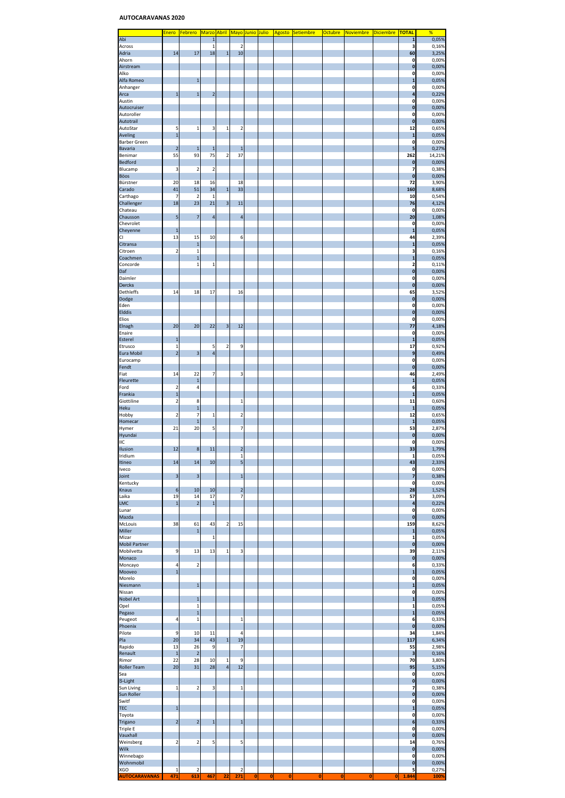## **AUTOCARAVANAS 2020**

|                      | <u>Enero</u>            | <b>Febrero</b>          | Marzo Abril Mayo Junio Julio |                |                         |           |             | Agosto | <b>Setiembre</b> | <b>Octubre</b> | <b>Noviembre</b> | Diciembre | <b>TOTAL</b>       | %      |
|----------------------|-------------------------|-------------------------|------------------------------|----------------|-------------------------|-----------|-------------|--------|------------------|----------------|------------------|-----------|--------------------|--------|
| Abi                  |                         |                         | $\mathbf{1}$                 |                |                         |           |             |        |                  |                |                  |           | $\mathbf{1}$       | 0,05%  |
| Across               |                         |                         | $\mathbf{1}$                 |                | 2                       |           |             |        |                  |                |                  |           | 3                  | 0,16%  |
| Adria                | 14                      | 17                      | 18                           | $\mathbf{1}$   | 10                      |           |             |        |                  |                |                  |           | 60                 | 3,25%  |
| Ahorn                |                         |                         |                              |                |                         |           |             |        |                  |                |                  |           | 0                  | 0,00%  |
| Airstream            |                         |                         |                              |                |                         |           |             |        |                  |                |                  |           | 0                  | 0,00%  |
| Alko                 |                         |                         |                              |                |                         |           |             |        |                  |                |                  |           | 0                  | 0,00%  |
| Alfa Romeo           |                         | 1                       |                              |                |                         |           |             |        |                  |                |                  |           | $\mathbf{1}$       | 0,05%  |
| Anhanger             |                         |                         |                              |                |                         |           |             |        |                  |                |                  |           | 0                  | 0,00%  |
| Arca                 | $\mathbf{1}$            | $\overline{1}$          | $\overline{2}$               |                |                         |           |             |        |                  |                |                  |           | 4                  | 0,22%  |
| Austin               |                         |                         |                              |                |                         |           |             |        |                  |                |                  |           | 0                  | 0,00%  |
| Autocruiser          |                         |                         |                              |                |                         |           |             |        |                  |                |                  |           | 0                  | 0,00%  |
| Autoroller           |                         |                         |                              |                |                         |           |             |        |                  |                |                  |           | 0                  | 0,00%  |
| Autotrail            |                         |                         |                              |                |                         |           |             |        |                  |                |                  |           | O                  | 0,00%  |
| AutoStar             | 5                       | 1                       | 3                            | $\mathbf{1}$   | $\overline{\mathbf{c}}$ |           |             |        |                  |                |                  |           | 12                 | 0,65%  |
| Aveling              | $\mathbf{1}$            |                         |                              |                |                         |           |             |        |                  |                |                  |           | p                  | 0,05%  |
| <b>Barber Green</b>  |                         |                         |                              |                |                         |           |             |        |                  |                |                  |           | 0                  | 0,00%  |
| <b>Bavaria</b>       | $\overline{2}$          | $\mathbf{1}$            | $\mathbf{1}$                 |                | $\mathbf{1}$            |           |             |        |                  |                |                  |           | 5                  | 0,27%  |
| Benimar              | 55                      | 93                      | 75                           | 2              | 37                      |           |             |        |                  |                |                  |           | 262                | 14,21% |
| <b>Bedford</b>       |                         |                         |                              |                |                         |           |             |        |                  |                |                  |           |                    | 0,00%  |
|                      |                         |                         |                              |                |                         |           |             |        |                  |                |                  |           | 0<br>7             |        |
| Blucamp              | 3                       | $\overline{\mathbf{c}}$ | $\overline{\mathbf{2}}$      |                |                         |           |             |        |                  |                |                  |           |                    | 0,38%  |
| Böos                 |                         |                         |                              |                |                         |           |             |        |                  |                |                  |           | $\bf{0}$           | 0,00%  |
| Bürstner             | 20                      | 18                      | 16                           |                | 18                      |           |             |        |                  |                |                  |           | 72                 | 3,90%  |
| Carado               | 41                      | 51                      | 34                           | $\mathbf 1$    | 33                      |           |             |        |                  |                |                  |           | 160                | 8,68%  |
| Carthago             | $\overline{7}$          | $\overline{\mathbf{c}}$ | $\mathbf{1}$                 |                |                         |           |             |        |                  |                |                  |           | 10                 | 0,54%  |
| Challenger           | 18                      | 23                      | 21                           | 3              | 11                      |           |             |        |                  |                |                  |           | 76                 | 4,12%  |
| Chateau              |                         |                         |                              |                |                         |           |             |        |                  |                |                  |           | 0                  | 0,00%  |
| Chausson             | 5                       | $\overline{7}$          | 4                            |                | $\overline{4}$          |           |             |        |                  |                |                  |           | 20                 | 1,08%  |
| Chevrolet            |                         |                         |                              |                |                         |           |             |        |                  |                |                  |           | 0                  | 0,00%  |
| Cheyenne             | $\mathbf{1}$            |                         |                              |                |                         |           |             |        |                  |                |                  |           | $\mathbf{1}$       | 0,05%  |
| CI                   | 13                      | 15                      | 10                           |                | 6                       |           |             |        |                  |                |                  |           | 44                 | 2,39%  |
| Citransa             |                         | $\mathbf{1}$            |                              |                |                         |           |             |        |                  |                |                  |           | $\mathbf{1}$       | 0,05%  |
| Citroen              | $\overline{\mathbf{c}}$ | $\mathbf{1}$            |                              |                |                         |           |             |        |                  |                |                  |           | 3                  | 0,16%  |
| Coachmen             |                         | $\mathbf{1}$            |                              |                |                         |           |             |        |                  |                |                  |           | $\mathbf{1}$       | 0,05%  |
| Concorde             |                         | $\mathbf{1}$            | $\mathbf{1}$                 |                |                         |           |             |        |                  |                |                  |           | 2                  | 0,11%  |
| Daf                  |                         |                         |                              |                |                         |           |             |        |                  |                |                  |           | 0                  | 0,00%  |
| Daimler              |                         |                         |                              |                |                         |           |             |        |                  |                |                  |           | 0                  | 0,00%  |
| Dercks               |                         |                         |                              |                |                         |           |             |        |                  |                |                  |           | $\bf{0}$           | 0,00%  |
| Dethleffs            | 14                      | 18                      | 17                           |                | 16                      |           |             |        |                  |                |                  |           | 65                 | 3,52%  |
| Dodge                |                         |                         |                              |                |                         |           |             |        |                  |                |                  |           | 0                  | 0,00%  |
| Eden                 |                         |                         |                              |                |                         |           |             |        |                  |                |                  |           | 0                  | 0,00%  |
| Elddis               |                         |                         |                              |                |                         |           |             |        |                  |                |                  |           | 0                  | 0,00%  |
| Elios                |                         |                         |                              |                |                         |           |             |        |                  |                |                  |           | 0                  | 0,00%  |
| Elnagh               | 20                      | 20                      | 22                           | 3              | 12                      |           |             |        |                  |                |                  |           | 77                 | 4,18%  |
| Enaire               |                         |                         |                              |                |                         |           |             |        |                  |                |                  |           | 0                  | 0,00%  |
| Esterel              | $\mathbf{1}$            |                         |                              |                |                         |           |             |        |                  |                |                  |           | $\mathbf{1}$       | 0,05%  |
| Etrusco              | $\mathbf{1}$            |                         | 5                            | $\overline{2}$ | 9                       |           |             |        |                  |                |                  |           | 17                 | 0,92%  |
| Eura Mobil           | $\overline{2}$          | 3                       | $\overline{4}$               |                |                         |           |             |        |                  |                |                  |           | 9                  | 0,49%  |
| Eurocamp             |                         |                         |                              |                |                         |           |             |        |                  |                |                  |           | 0                  | 0,00%  |
| Fendt                |                         |                         |                              |                |                         |           |             |        |                  |                |                  |           | $\bf{0}$           | 0,00%  |
| Fiat                 | 14                      | 22                      | 7                            |                | 3                       |           |             |        |                  |                |                  |           | 46                 | 2,49%  |
| Fleurette            |                         | $\mathbf{1}$            |                              |                |                         |           |             |        |                  |                |                  |           | $\mathbf{1}$       | 0,05%  |
|                      |                         | 4                       |                              |                |                         |           |             |        |                  |                |                  |           |                    |        |
| Ford                 | $\overline{2}$          |                         |                              |                |                         |           |             |        |                  |                |                  |           | 6                  | 0,33%  |
| Frankia              | $\mathbf{1}$            |                         |                              |                |                         |           |             |        |                  |                |                  |           | 1                  | 0,05%  |
| Giottiline           | $\overline{\mathbf{c}}$ | 8                       |                              |                | $\mathbf{1}$            |           |             |        |                  |                |                  |           | 11                 | 0,60%  |
| Heku                 |                         | $\mathbf 1$             |                              |                |                         |           |             |        |                  |                |                  |           | 1                  | 0,05%  |
| Hobby                | $\overline{2}$          | $\overline{7}$          | 1                            |                | $\overline{2}$          |           |             |        |                  |                |                  |           | 12                 | 0,65%  |
| Homecar              |                         | $\overline{1}$          |                              |                |                         |           |             |        |                  |                |                  |           | $\mathbf{1}$       | 0,05%  |
| Hymer                | 21                      | 20                      | 5                            |                | 7                       |           |             |        |                  |                |                  |           | 53                 | 2,87%  |
| Hyundai              |                         |                         |                              |                |                         |           |             |        |                  |                |                  |           | 0                  | 0,00%  |
| IIC                  |                         |                         |                              |                |                         |           |             |        |                  |                |                  |           | 0                  | 0,00%  |
| Ilusion              | 12                      | 8                       | 11                           |                | $\overline{\mathbf{c}}$ |           |             |        |                  |                |                  |           | 33                 | 1,79%  |
| Iridium              |                         |                         |                              |                |                         |           |             |        |                  |                |                  |           |                    | 0,05%  |
| Itineo               | 14                      | 14                      | 10                           |                | 5                       |           |             |        |                  |                |                  |           | 43                 | 2,33%  |
| Iveco                |                         |                         |                              |                |                         |           |             |        |                  |                |                  |           | 0                  | 0,00%  |
| Joint                | 3                       | 3                       |                              |                | $\mathbf{1}$            |           |             |        |                  |                |                  |           | 7                  | 0,38%  |
| Kentucky             |                         |                         |                              |                |                         |           |             |        |                  |                |                  |           | 0                  | 0,00%  |
| Knaus                | 6                       | 10                      | 10                           |                | $\overline{\mathbf{c}}$ |           |             |        |                  |                |                  |           | 28                 | 1,52%  |
| Laika                | 19                      | 14                      | 17                           |                | $\overline{7}$          |           |             |        |                  |                |                  |           | 57                 | 3,09%  |
| LMC                  | $\mathbf{1}$            | $\overline{2}$          | $\overline{1}$               |                |                         |           |             |        |                  |                |                  |           | 4                  | 0,22%  |
| Lunar                |                         |                         |                              |                |                         |           |             |        |                  |                |                  |           | 0                  | 0,00%  |
| Mazda                |                         |                         |                              |                |                         |           |             |        |                  |                |                  |           | 0                  | 0,00%  |
| McLouis              | 38                      | 61                      | 43                           | $\overline{2}$ | 15                      |           |             |        |                  |                |                  |           | 159                | 8,62%  |
| Miller               |                         | $\mathbf{1}$            |                              |                |                         |           |             |        |                  |                |                  |           | $\mathbf{1}$       | 0,05%  |
| Mizar                |                         |                         | $\mathbf 1$                  |                |                         |           |             |        |                  |                |                  |           | 1                  | 0,05%  |
| <b>Mobil Partner</b> |                         |                         |                              |                |                         |           |             |        |                  |                |                  |           | 0                  | 0,00%  |
| Mobilvetta           | 9                       | 13                      | 13                           | $\mathbf 1$    | 3                       |           |             |        |                  |                |                  |           | 39                 | 2,11%  |
| Monaco               |                         |                         |                              |                |                         |           |             |        |                  |                |                  |           | $\pmb{\mathsf{0}}$ | 0,00%  |
| Moncayo              | 4                       | $\overline{2}$          |                              |                |                         |           |             |        |                  |                |                  |           | 6                  | 0,33%  |
| Mooveo               | $\overline{1}$          |                         |                              |                |                         |           |             |        |                  |                |                  |           | $\mathbf 1$        | 0,05%  |
| Morelo               |                         |                         |                              |                |                         |           |             |        |                  |                |                  |           | 0                  | 0,00%  |
| Niesmann             |                         | $\mathbf{1}$            |                              |                |                         |           |             |        |                  |                |                  |           | $\mathbf{1}$       | 0,05%  |
| Nissan               |                         |                         |                              |                |                         |           |             |        |                  |                |                  |           | 0                  | 0,00%  |
| <b>Nobel Art</b>     |                         | $\mathbf{1}$            |                              |                |                         |           |             |        |                  |                |                  |           | $\mathbf{1}$       | 0,05%  |
| Opel                 |                         | $\mathbf{1}$            |                              |                |                         |           |             |        |                  |                |                  |           | 1                  | 0,05%  |
| Pegaso               |                         | $\mathbf{1}$            |                              |                |                         |           |             |        |                  |                |                  |           | $\mathbf{1}$       | 0,05%  |
| Peugeot              | 4                       | $\mathbf{1}$            |                              |                | $\mathbf{1}$            |           |             |        |                  |                |                  |           | 6                  | 0,33%  |
| Phoenix              |                         |                         |                              |                |                         |           |             |        |                  |                |                  |           | $\mathbf{0}$       | 0,00%  |
|                      | 9                       | 10                      | 11                           |                | 4                       |           |             |        |                  |                |                  |           | 34                 |        |
| Pilote               |                         |                         |                              |                | 19                      |           |             |        |                  |                |                  |           |                    | 1,84%  |
| Pla                  | 20                      | 34                      | 43                           | $\mathbf{1}$   |                         |           |             |        |                  |                |                  |           | 117                | 6,34%  |
| Rapido               | 13                      | 26                      | 9                            |                | $\overline{7}$          |           |             |        |                  |                |                  |           | 55                 | 2,98%  |
| Renault              | $\mathbf{1}$            | $\overline{\mathbf{c}}$ |                              |                |                         |           |             |        |                  |                |                  |           | 3                  | 0,16%  |
| Rimor                | 22                      | 28                      | 10                           | $\mathbf{1}$   | 9                       |           |             |        |                  |                |                  |           | 70                 | 3,80%  |
| Roller Team          | 20                      | 31                      | 28                           | $\overline{4}$ | 12                      |           |             |        |                  |                |                  |           | 95                 | 5,15%  |
| Sea                  |                         |                         |                              |                |                         |           |             |        |                  |                |                  |           | 0                  | 0,00%  |
| S-Light              |                         |                         |                              |                |                         |           |             |        |                  |                |                  |           | $\bf{0}$           | 0,00%  |
| Sun Living           | $\mathbf 1$             | $\overline{\mathbf{c}}$ | 3                            |                | $\mathbf{1}$            |           |             |        |                  |                |                  |           | 7                  | 0,38%  |
| Sun Roller           |                         |                         |                              |                |                         |           |             |        |                  |                |                  |           | $\pmb{0}$          | 0,00%  |
| Switf                |                         |                         |                              |                |                         |           |             |        |                  |                |                  |           | 0                  | 0,00%  |
| <b>TEC</b>           | $\mathbf{1}$            |                         |                              |                |                         |           |             |        |                  |                |                  |           | $\mathbf{1}$       | 0,05%  |
| Toyota               |                         |                         |                              |                |                         |           |             |        |                  |                |                  |           | 0                  | 0,00%  |
| Trigano              | $\overline{2}$          | $\overline{2}$          | 1                            |                | $\mathbf{1}$            |           |             |        |                  |                |                  |           | 6                  | 0,33%  |
| <b>Triple E</b>      |                         |                         |                              |                |                         |           |             |        |                  |                |                  |           | 0                  | 0,00%  |
| Vauxhall             |                         |                         |                              |                |                         |           |             |        |                  |                |                  |           | $\bf{0}$           | 0,00%  |
| Weinsberg            | $\overline{\mathbf{c}}$ | $\overline{\mathbf{c}}$ | 5                            |                | 5                       |           |             |        |                  |                |                  |           | 14                 | 0,76%  |
| Wilk                 |                         |                         |                              |                |                         |           |             |        |                  |                |                  |           | 0                  | 0,00%  |
| Winnebago            |                         |                         |                              |                |                         |           |             |        |                  |                |                  |           | 0                  | 0,00%  |
| Wohnmobil            |                         |                         |                              |                |                         |           |             |        |                  |                |                  |           | $\pmb{0}$          | 0,00%  |
| XGO                  | $\mathbf{1}$            | $\overline{2}$          |                              |                | 2                       |           |             |        |                  |                |                  |           | 5                  | 0,27%  |
| <b>AUTOCARAVANAS</b> | 471                     | 613                     | 467                          | 22             | 271                     | $\bullet$ | $\mathbf 0$ | 0      | O                | $\mathbf 0$    | $\bf{0}$         | 0         | 1.844              | 100%   |